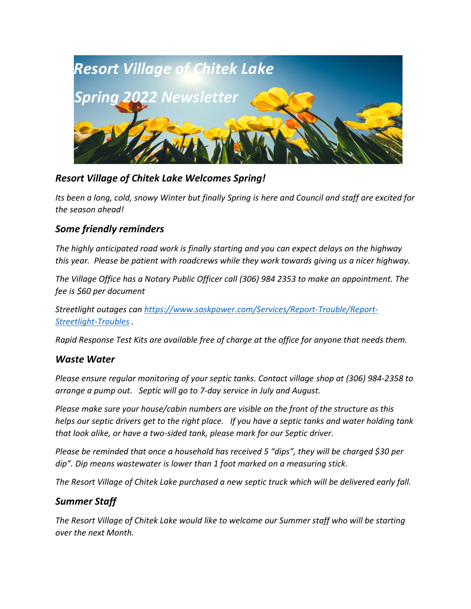

## *Resort Village of Chitek Lake Welcomes Spring!*

*Its been a long, cold, snowy Winter but finally Spring is here and Council and staff are excited for the season ahead!* 

## *Some friendly reminders*

*The highly anticipated road work is finally starting and you can expect delays on the highway this year. Please be patient with roadcrews while they work towards giving us a nicer highway.* 

*The Village Office has a Notary Public Officer call (306) 984 2353 to make an appointment. The fee is \$60 per document*

*Streetlight outages can [https://www.saskpower.com/Services/Report-Trouble/Report-](https://www.saskpower.com/Services/Report-Trouble/Report-Streetlight-Troubles)[Streetlight-Troubles](https://www.saskpower.com/Services/Report-Trouble/Report-Streetlight-Troubles) .* 

*Rapid Response Test Kits are available free of charge at the office for anyone that needs them.*

### *Waste Water*

*Please ensure regular monitoring of your septic tanks. Contact village shop at (306) 984-2358 to arrange a pump out. Septic will go to 7-day service in July and August.*

*Please make sure your house/cabin numbers are visible on the front of the structure as this helps our septic drivers get to the right place. If you have a septic tanks and water holding tank that look alike, or have a two-sided tank, please mark for our Septic driver.*

*Please be reminded that once a household has received 5 "dips", they will be charged \$30 per dip". Dip means wastewater is lower than 1 foot marked on a measuring stick.*

*The Resort Village of Chitek Lake purchased a new septic truck which will be delivered early fall.* 

## *Summer Staff*

*The Resort Village of Chitek Lake would like to welcome our Summer staff who will be starting over the next Month.*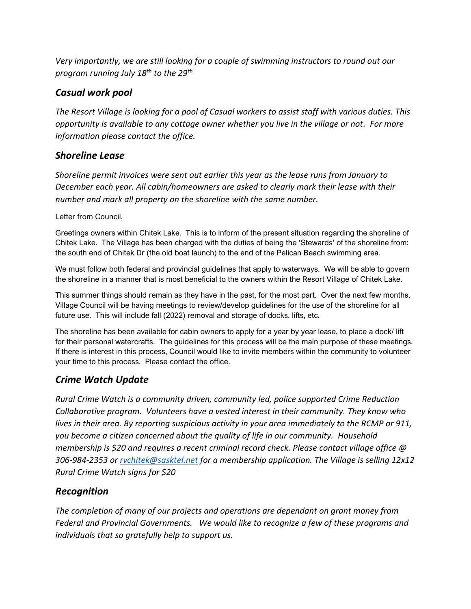*Very importantly, we are still looking for a couple of swimming instructors to round out our program running July 18th to the 29th* 

# *Casual work pool*

*The Resort Village is looking for a pool of Casual workers to assist staff with various duties. This opportunity is available to any cottage owner whether you live in the village or not. For more information please contact the office.*

# *Shoreline Lease*

*Shoreline permit invoices were sent out earlier this year as the lease runs from January to December each year. All cabin/homeowners are asked to clearly mark their lease with their number and mark all property on the shoreline with the same number.*

Letter from Council,

Greetings owners within Chitek Lake. This is to inform of the present situation regarding the shoreline of Chitek Lake. The Village has been charged with the duties of being the 'Stewards' of the shoreline from: the south end of Chitek Dr (the old boat launch) to the end of the Pelican Beach swimming area.

We must follow both federal and provincial guidelines that apply to waterways. We will be able to govern the shoreline in a manner that is most beneficial to the owners within the Resort Village of Chitek Lake.

This summer things should remain as they have in the past, for the most part. Over the next few months, Village Council will be having meetings to review/develop guidelines for the use of the shoreline for all future use. This will include fall (2022) removal and storage of docks, lifts, etc.

The shoreline has been available for cabin owners to apply for a year by year lease, to place a dock/ lift for their personal watercrafts. The guidelines for this process will be the main purpose of these meetings. If there is interest in this process, Council would like to invite members within the community to volunteer your time to this process. Please contact the office.

## *Crime Watch Update*

*Rural Crime Watch is a community driven, community led, police supported Crime Reduction Collaborative program. Volunteers have a vested interest in their community. They know who lives in their area. By reporting suspicious activity in your area immediately to the RCMP or 911, you become a citizen concerned about the quality of life in our community. Household membership is \$20 and requires a recent criminal record check. Please contact village office @ 306-984-2353 or [rvchitek@sasktel.net](mailto:rvchitek@sasktel.net) for a membership application. The Village is selling 12x12 Rural Crime Watch signs for \$20*

## *Recognition*

*The completion of many of our projects and operations are dependant on grant money from Federal and Provincial Governments. We would like to recognize a few of these programs and individuals that so gratefully help to support us.*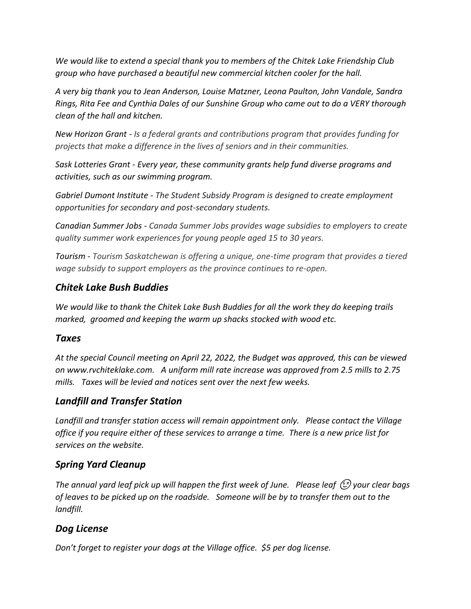*We would like to extend a special thank you to members of the Chitek Lake Friendship Club group who have purchased a beautiful new commercial kitchen cooler for the hall.*

*A very big thank you to Jean Anderson, Louise Matzner, Leona Paulton, John Vandale, Sandra Rings, Rita Fee and Cynthia Dales of our Sunshine Group who came out to do a VERY thorough clean of the hall and kitchen.* 

*New Horizon Grant - Is a federal grants and contributions program that provides funding for projects that make a difference in the lives of seniors and in their communities.*

*Sask Lotteries Grant - Every year, these community grants help fund diverse programs and activities, such as our swimming program.*

*Gabriel Dumont Institute - The Student Subsidy Program is designed to create employment opportunities for secondary and post-secondary students.*

*Canadian Summer Jobs - Canada Summer Jobs provides wage subsidies to employers to create quality summer work experiences for young people aged 15 to 30 years.*

*Tourism - Tourism Saskatchewan is offering a unique, one-time program that provides a tiered wage subsidy to support employers as the province continues to re-open.*

### *Chitek Lake Bush Buddies*

*We would like to thank the Chitek Lake Bush Buddies for all the work they do keeping trails marked, groomed and keeping the warm up shacks stocked with wood etc.* 

### *Taxes*

*At the special Council meeting on April 22, 2022, the Budget was approved, this can be viewed on www.rvchiteklake.com. A uniform mill rate increase was approved from 2.5 mills to 2.75 mills. Taxes will be levied and notices sent over the next few weeks.* 

## *Landfill and Transfer Station*

*Landfill and transfer station access will remain appointment only. Please contact the Village office if you require either of these services to arrange a time. There is a new price list for services on the website.*

## *Spring Yard Cleanup*

*The annual yard leaf pick up will happen the first week of June. Please leaf*  $\bigcirc$  your clear bags *of leaves to be picked up on the roadside. Someone will be by to transfer them out to the landfill.* 

# *Dog License*

*Don't forget to register your dogs at the Village office. \$5 per dog license.*